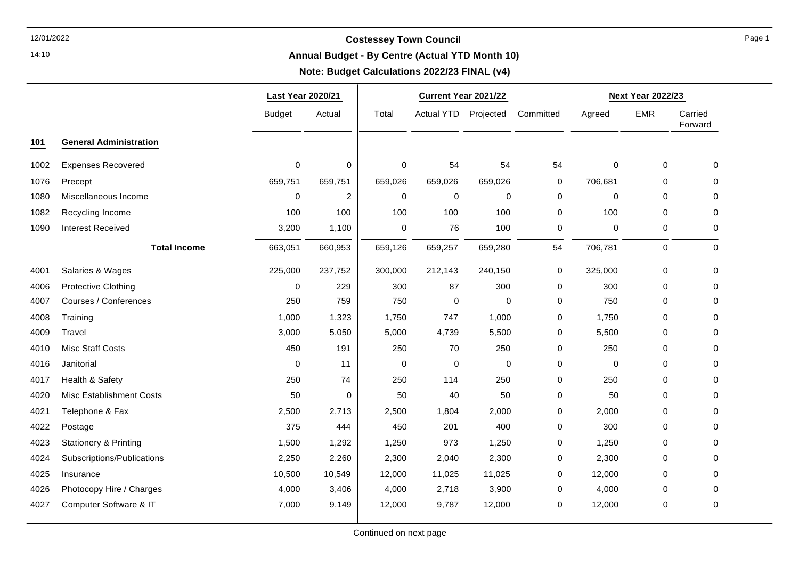14:10

### **Annual Budget - By Centre (Actual YTD Month 10)**

### **Note: Budget Calculations 2022/23 FINAL (v4)**

┯

|      |                                  | Last Year 2020/21 |             | Current Year 2021/22 |                      |             |             | <b>Next Year 2022/23</b> |             |                    |
|------|----------------------------------|-------------------|-------------|----------------------|----------------------|-------------|-------------|--------------------------|-------------|--------------------|
|      |                                  | <b>Budget</b>     | Actual      | Total                | Actual YTD Projected |             | Committed   | Agreed                   | <b>EMR</b>  | Carried<br>Forward |
| 101  | <b>General Administration</b>    |                   |             |                      |                      |             |             |                          |             |                    |
| 1002 | <b>Expenses Recovered</b>        | $\mathbf 0$       | $\mathbf 0$ | $\pmb{0}$            | 54                   | 54          | 54          | $\mathbf 0$              | 0           | $\mathbf 0$        |
| 1076 | Precept                          | 659,751           | 659,751     | 659,026              | 659,026              | 659,026     | 0           | 706,681                  | 0           | 0                  |
| 1080 | Miscellaneous Income             | $\mathbf 0$       | 2           | $\mathbf 0$          | $\mathbf 0$          | $\mathbf 0$ | $\mathbf 0$ | $\mathbf 0$              | $\mathbf 0$ | $\mathbf 0$        |
| 1082 | Recycling Income                 | 100               | 100         | 100                  | 100                  | 100         | 0           | 100                      | $\mathbf 0$ | $\mathbf 0$        |
| 1090 | <b>Interest Received</b>         | 3,200             | 1,100       | 0                    | 76                   | 100         | 0           | $\mathbf 0$              | 0           | $\pmb{0}$          |
|      | <b>Total Income</b>              | 663,051           | 660,953     | 659,126              | 659,257              | 659,280     | 54          | 706,781                  | 0           | $\mathbf 0$        |
| 4001 | Salaries & Wages                 | 225,000           | 237,752     | 300,000              | 212,143              | 240,150     | $\pmb{0}$   | 325,000                  | $\mathsf 0$ | $\mathbf 0$        |
| 4006 | <b>Protective Clothing</b>       | $\mathbf 0$       | 229         | 300                  | 87                   | 300         | 0           | 300                      | $\mathbf 0$ | $\mathbf 0$        |
| 4007 | Courses / Conferences            | 250               | 759         | 750                  | 0                    | 0           | 0           | 750                      | $\mathbf 0$ | $\mathbf 0$        |
| 4008 | Training                         | 1,000             | 1,323       | 1,750                | 747                  | 1,000       | 0           | 1,750                    | $\mathbf 0$ | 0                  |
| 4009 | Travel                           | 3,000             | 5,050       | 5,000                | 4,739                | 5,500       | 0           | 5,500                    | 0           | $\mathbf 0$        |
| 4010 | <b>Misc Staff Costs</b>          | 450               | 191         | 250                  | 70                   | 250         | 0           | 250                      | 0           | 0                  |
| 4016 | Janitorial                       | $\mathbf 0$       | 11          | $\mathbf 0$          | $\mathbf 0$          | $\mathbf 0$ | 0           | $\mathbf 0$              | $\mathbf 0$ | $\mathbf 0$        |
| 4017 | Health & Safety                  | 250               | 74          | 250                  | 114                  | 250         | 0           | 250                      | $\mathbf 0$ | $\mathbf 0$        |
| 4020 | <b>Misc Establishment Costs</b>  | 50                | 0           | 50                   | 40                   | 50          | 0           | 50                       | 0           | 0                  |
| 4021 | Telephone & Fax                  | 2,500             | 2,713       | 2,500                | 1,804                | 2,000       | 0           | 2,000                    | 0           | 0                  |
| 4022 | Postage                          | 375               | 444         | 450                  | 201                  | 400         | $\mathbf 0$ | 300                      | $\mathbf 0$ | $\mathbf 0$        |
| 4023 | <b>Stationery &amp; Printing</b> | 1,500             | 1,292       | 1,250                | 973                  | 1,250       | 0           | 1,250                    | 0           | $\mathbf 0$        |
| 4024 | Subscriptions/Publications       | 2,250             | 2,260       | 2,300                | 2,040                | 2,300       | 0           | 2,300                    | 0           | 0                  |
| 4025 | Insurance                        | 10,500            | 10,549      | 12,000               | 11,025               | 11,025      | $\pmb{0}$   | 12,000                   | 0           | 0                  |
| 4026 | Photocopy Hire / Charges         | 4,000             | 3,406       | 4,000                | 2,718                | 3,900       | 0           | 4,000                    | $\mathbf 0$ | $\mathbf 0$        |
| 4027 | Computer Software & IT           | 7,000             | 9,149       | 12,000               | 9,787                | 12,000      | 0           | 12,000                   | 0           | 0                  |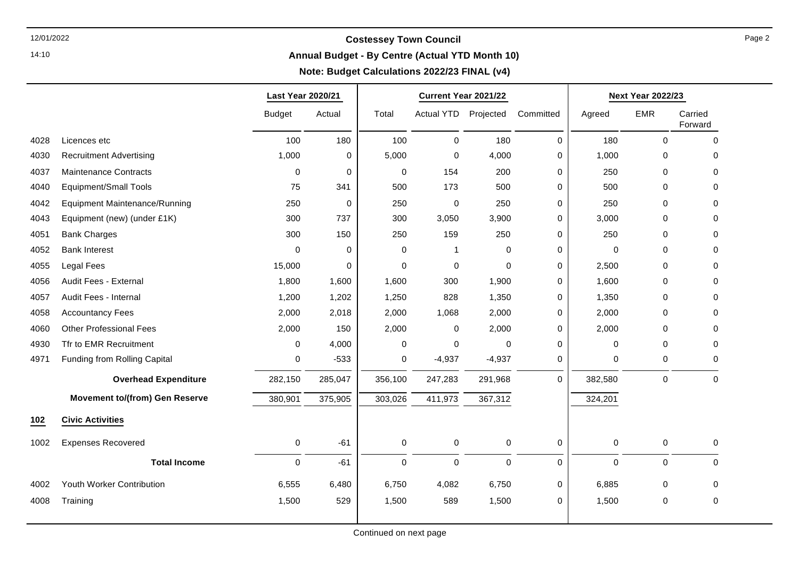14:10

### **Annual Budget - By Centre (Actual YTD Month 10)**

┯

#### **Note: Budget Calculations 2022/23 FINAL (v4)**

┯

|      |                                       | Last Year 2020/21 |             | Current Year 2021/22 |                     |             |           | <b>Next Year 2022/23</b> |             |                    |
|------|---------------------------------------|-------------------|-------------|----------------------|---------------------|-------------|-----------|--------------------------|-------------|--------------------|
|      |                                       | <b>Budget</b>     | Actual      | Total                | <b>Actual YTD</b>   | Projected   | Committed | Agreed                   | <b>EMR</b>  | Carried<br>Forward |
| 4028 | Licences etc                          | 100               | 180         | 100                  | $\mathsf{O}\xspace$ | 180         | $\Omega$  | 180                      | $\mathbf 0$ | $\mathbf 0$        |
| 4030 | <b>Recruitment Advertising</b>        | 1,000             | $\mathbf 0$ | 5,000                | 0                   | 4,000       | 0         | 1,000                    | $\mathbf 0$ | 0                  |
| 4037 | <b>Maintenance Contracts</b>          | 0                 | $\pmb{0}$   | $\mathbf 0$          | 154                 | 200         | 0         | 250                      | $\mathbf 0$ | 0                  |
| 4040 | <b>Equipment/Small Tools</b>          | 75                | 341         | 500                  | 173                 | 500         | 0         | 500                      | 0           | 0                  |
| 4042 | <b>Equipment Maintenance/Running</b>  | 250               | $\pmb{0}$   | 250                  | 0                   | 250         | 0         | 250                      | $\mathbf 0$ | 0                  |
| 4043 | Equipment (new) (under £1K)           | 300               | 737         | 300                  | 3,050               | 3,900       | 0         | 3,000                    | $\Omega$    | 0                  |
| 4051 | <b>Bank Charges</b>                   | 300               | 150         | 250                  | 159                 | 250         | 0         | 250                      | $\Omega$    | 0                  |
| 4052 | <b>Bank Interest</b>                  | $\Omega$          | $\mathbf 0$ | 0                    | 1                   | $\Omega$    | 0         | $\Omega$                 | $\Omega$    | $\Omega$           |
| 4055 | Legal Fees                            | 15,000            | 0           | $\Omega$             | $\mathbf 0$         | $\Omega$    | 0         | 2,500                    | $\Omega$    | $\Omega$           |
| 4056 | Audit Fees - External                 | 1,800             | 1,600       | 1,600                | 300                 | 1,900       | $\Omega$  | 1,600                    | $\Omega$    | 0                  |
| 4057 | Audit Fees - Internal                 | 1,200             | 1,202       | 1,250                | 828                 | 1,350       | 0         | 1,350                    | $\Omega$    | 0                  |
| 4058 | <b>Accountancy Fees</b>               | 2,000             | 2,018       | 2,000                | 1,068               | 2,000       | 0         | 2,000                    | $\Omega$    | $\Omega$           |
| 4060 | <b>Other Professional Fees</b>        | 2,000             | 150         | 2,000                | 0                   | 2,000       | 0         | 2,000                    | 0           | 0                  |
| 4930 | Tfr to EMR Recruitment                | 0                 | 4,000       | 0                    | 0                   | 0           | 0         | 0                        | $\Omega$    | 0                  |
| 4971 | Funding from Rolling Capital          | 0                 | $-533$      | 0                    | $-4,937$            | $-4,937$    | 0         | $\mathbf 0$              | $\mathbf 0$ | $\Omega$           |
|      | <b>Overhead Expenditure</b>           | 282,150           | 285,047     | 356,100              | 247,283             | 291,968     | $\Omega$  | 382,580                  | $\mathbf 0$ | $\mathbf 0$        |
|      | <b>Movement to/(from) Gen Reserve</b> | 380,901           | 375,905     | 303,026              | 411,973             | 367,312     |           | 324,201                  |             |                    |
| 102  | <b>Civic Activities</b>               |                   |             |                      |                     |             |           |                          |             |                    |
| 1002 | <b>Expenses Recovered</b>             | 0                 | $-61$       | $\pmb{0}$            | 0                   | $\pmb{0}$   | 0         | $\mathbf 0$              | $\pmb{0}$   | $\mathbf 0$        |
|      | <b>Total Income</b>                   | $\mathbf 0$       | $-61$       | $\mathbf 0$          | $\mathbf 0$         | $\mathbf 0$ | $\Omega$  | $\mathbf 0$              | $\mathbf 0$ | 0                  |
| 4002 | Youth Worker Contribution             | 6,555             | 6,480       | 6,750                | 4,082               | 6,750       | 0         | 6,885                    | $\mathbf 0$ | 0                  |
| 4008 | Training                              | 1,500             | 529         | 1,500                | 589                 | 1,500       | 0         | 1,500                    | $\mathbf 0$ | $\Omega$           |
|      |                                       |                   |             |                      |                     |             |           |                          |             |                    |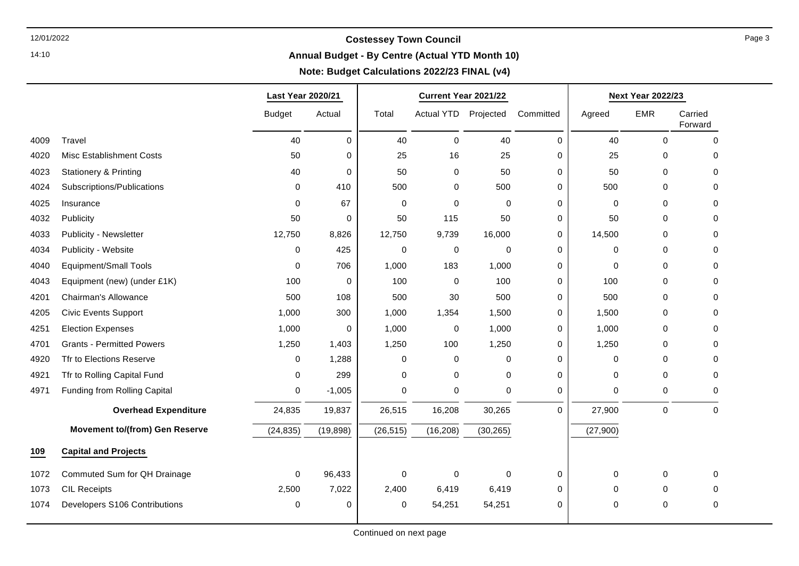14:10

**Annual Budget - By Centre (Actual YTD Month 10)**

|      |                                       | <b>Last Year 2020/21</b> |             | Current Year 2021/22 |                   |             |             | <b>Next Year 2022/23</b> |             |                    |
|------|---------------------------------------|--------------------------|-------------|----------------------|-------------------|-------------|-------------|--------------------------|-------------|--------------------|
|      |                                       | <b>Budget</b>            | Actual      | Total                | <b>Actual YTD</b> | Projected   | Committed   | Agreed                   | <b>EMR</b>  | Carried<br>Forward |
| 4009 | Travel                                | 40                       | 0           | 40                   | $\Omega$          | 40          | $\mathbf 0$ | 40                       | 0           | $\Omega$           |
| 4020 | <b>Misc Establishment Costs</b>       | 50                       | $\mathbf 0$ | 25                   | 16                | 25          | $\mathbf 0$ | 25                       | $\mathbf 0$ | $\Omega$           |
| 4023 | <b>Stationery &amp; Printing</b>      | 40                       | $\pmb{0}$   | 50                   | 0                 | 50          | 0           | 50                       | 0           | $\Omega$           |
| 4024 | Subscriptions/Publications            | $\mathbf 0$              | 410         | 500                  | 0                 | 500         | $\mathbf 0$ | 500                      | $\mathbf 0$ | $\Omega$           |
| 4025 | Insurance                             | 0                        | 67          | 0                    | $\mathbf 0$       | $\mathbf 0$ | 0           | $\mathbf 0$              | 0           | 0                  |
| 4032 | Publicity                             | 50                       | $\mathbf 0$ | 50                   | 115               | 50          | 0           | 50                       | $\mathbf 0$ | 0                  |
| 4033 | Publicity - Newsletter                | 12,750                   | 8,826       | 12,750               | 9,739             | 16,000      | 0           | 14,500                   | 0           | 0                  |
| 4034 | Publicity - Website                   | $\mathbf 0$              | 425         | 0                    | $\mathbf 0$       | $\mathbf 0$ | $\mathbf 0$ | $\mathbf 0$              | 0           | $\Omega$           |
| 4040 | <b>Equipment/Small Tools</b>          | 0                        | 706         | 1,000                | 183               | 1,000       | 0           | 0                        | 0           | 0                  |
| 4043 | Equipment (new) (under £1K)           | 100                      | 0           | 100                  | $\mathbf 0$       | 100         | $\mathbf 0$ | 100                      | 0           | $\Omega$           |
| 4201 | Chairman's Allowance                  | 500                      | 108         | 500                  | 30                | 500         | 0           | 500                      | 0           | 0                  |
| 4205 | <b>Civic Events Support</b>           | 1,000                    | 300         | 1,000                | 1,354             | 1,500       | 0           | 1,500                    | 0           | 0                  |
| 4251 | <b>Election Expenses</b>              | 1,000                    | 0           | 1,000                | $\mathbf 0$       | 1,000       | 0           | 1,000                    | 0           | $\Omega$           |
| 4701 | <b>Grants - Permitted Powers</b>      | 1,250                    | 1,403       | 1,250                | 100               | 1,250       | 0           | 1,250                    | 0           | 0                  |
| 4920 | Tfr to Elections Reserve              | $\mathbf 0$              | 1,288       | 0                    | 0                 | 0           | 0           | 0                        | 0           | 0                  |
| 4921 | Tfr to Rolling Capital Fund           | 0                        | 299         | 0                    | 0                 | 0           | $\mathbf 0$ | $\mathbf 0$              | 0           | 0                  |
| 4971 | Funding from Rolling Capital          | 0                        | $-1,005$    | 0                    | $\mathbf 0$       | 0           | $\mathbf 0$ | $\mathbf 0$              | 0           | 0                  |
|      | <b>Overhead Expenditure</b>           | 24,835                   | 19,837      | 26,515               | 16,208            | 30,265      | $\mathbf 0$ | 27,900                   | $\pmb{0}$   | $\mathbf 0$        |
|      | <b>Movement to/(from) Gen Reserve</b> | (24, 835)                | (19, 898)   | (26, 515)            | (16, 208)         | (30, 265)   |             | (27,900)                 |             |                    |
| 109  | <b>Capital and Projects</b>           |                          |             |                      |                   |             |             |                          |             |                    |
| 1072 | Commuted Sum for QH Drainage          | $\mathbf 0$              | 96,433      | 0                    | $\mathbf 0$       | 0           | 0           | 0                        | 0           | $\mathbf 0$        |
| 1073 | <b>CIL Receipts</b>                   | 2,500                    | 7,022       | 2,400                | 6,419             | 6,419       | 0           | $\mathbf 0$              | 0           | 0                  |
| 1074 | Developers S106 Contributions         | 0                        | 0           | 0                    | 54,251            | 54,251      | 0           | $\mathbf 0$              | 0           | 0                  |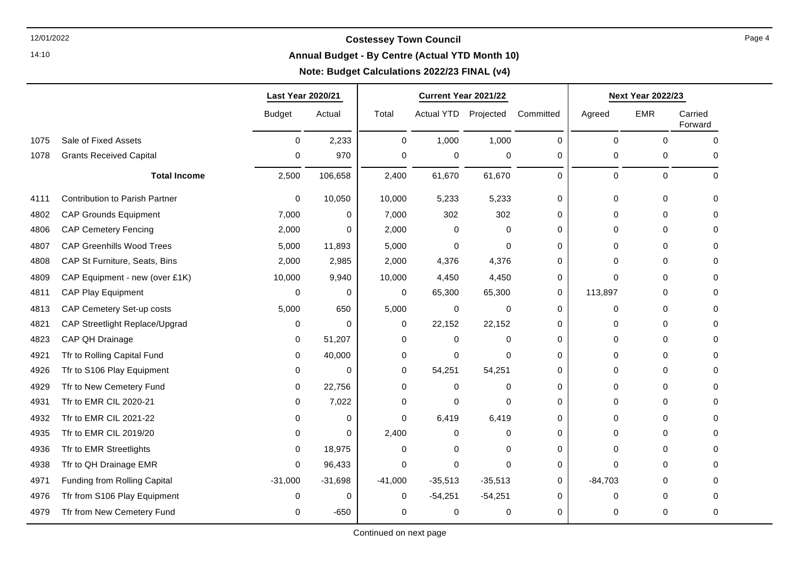14:10

#### **Annual Budget - By Centre (Actual YTD Month 10)**

### **Note: Budget Calculations 2022/23 FINAL (v4)**

|      |                                       | Last Year 2020/21 |             | Current Year 2021/22 |                   |             | <b>Next Year 2022/23</b> |             |            |                    |
|------|---------------------------------------|-------------------|-------------|----------------------|-------------------|-------------|--------------------------|-------------|------------|--------------------|
|      |                                       | <b>Budget</b>     | Actual      | Total                | <b>Actual YTD</b> | Projected   | Committed                | Agreed      | <b>EMR</b> | Carried<br>Forward |
| 1075 | Sale of Fixed Assets                  | $\mathbf 0$       | 2,233       | $\mathbf 0$          | 1,000             | 1,000       | 0                        | $\mathbf 0$ | $\Omega$   | $\Omega$           |
| 1078 | <b>Grants Received Capital</b>        | 0                 | 970         | 0                    | 0                 | 0           | 0                        | 0           | 0          | 0                  |
|      | <b>Total Income</b>                   | 2,500             | 106,658     | 2,400                | 61,670            | 61,670      | 0                        | 0           | 0          | 0                  |
| 4111 | <b>Contribution to Parish Partner</b> | 0                 | 10,050      | 10,000               | 5,233             | 5,233       | 0                        | 0           | 0          | $\Omega$           |
| 4802 | <b>CAP Grounds Equipment</b>          | 7,000             | $\mathbf 0$ | 7,000                | 302               | 302         | 0                        | $\mathbf 0$ | $\Omega$   | 0                  |
| 4806 | <b>CAP Cemetery Fencing</b>           | 2,000             | 0           | 2,000                | 0                 | 0           | 0                        | 0           | 0          | 0                  |
| 4807 | <b>CAP Greenhills Wood Trees</b>      | 5,000             | 11,893      | 5,000                | $\Omega$          | $\mathbf 0$ | 0                        | $\Omega$    | 0          | 0                  |
| 4808 | CAP St Furniture, Seats, Bins         | 2,000             | 2,985       | 2,000                | 4,376             | 4,376       | 0                        | 0           | $\Omega$   | 0                  |
| 4809 | CAP Equipment - new (over £1K)        | 10,000            | 9,940       | 10,000               | 4,450             | 4,450       | 0                        | 0           | $\Omega$   | U                  |
| 4811 | CAP Play Equipment                    | $\Omega$          | 0           | 0                    | 65,300            | 65,300      | 0                        | 113,897     | 0          | U                  |
| 4813 | CAP Cemetery Set-up costs             | 5,000             | 650         | 5,000                | 0                 | 0           | $\Omega$                 | 0           | $\Omega$   | U                  |
| 4821 | CAP Streetlight Replace/Upgrad        | 0                 | $\Omega$    | 0                    | 22,152            | 22,152      | 0                        | $\Omega$    | $\Omega$   | n                  |
| 4823 | CAP QH Drainage                       | $\Omega$          | 51,207      | 0                    | $\Omega$          | $\mathbf 0$ | 0                        | $\Omega$    | 0          | ი                  |
| 4921 | Tfr to Rolling Capital Fund           | 0                 | 40,000      | 0                    | 0                 | $\mathbf 0$ | 0                        | 0           | $\Omega$   | 0                  |
| 4926 | Tfr to S106 Play Equipment            | $\Omega$          | $\Omega$    | 0                    | 54,251            | 54,251      | $\Omega$                 | $\Omega$    | $\Omega$   | U                  |
| 4929 | Tfr to New Cemetery Fund              | $\Omega$          | 22,756      | 0                    | $\Omega$          | $\mathbf 0$ | 0                        | 0           | $\Omega$   | U                  |
| 4931 | Tfr to EMR CIL 2020-21                | 0                 | 7,022       | 0                    | 0                 | 0           | $\Omega$                 | 0           | 0          | ი                  |
| 4932 | Tfr to EMR CIL 2021-22                | 0                 | 0           | 0                    | 6,419             | 6,419       | $\overline{0}$           | $\mathbf 0$ | 0          | 0                  |
| 4935 | Tfr to EMR CIL 2019/20                | $\Omega$          | $\Omega$    | 2,400                | $\Omega$          | $\Omega$    | $\Omega$                 | $\Omega$    | $\Omega$   | 0                  |
| 4936 | Tfr to EMR Streetlights               | $\Omega$          | 18,975      | $\Omega$             | $\Omega$          | 0           | 0                        | $\Omega$    | $\Omega$   | U                  |
| 4938 | Tfr to QH Drainage EMR                | 0                 | 96,433      | 0                    | 0                 | $\mathbf 0$ | 0                        | 0           | 0          | 0                  |
| 4971 | Funding from Rolling Capital          | $-31,000$         | $-31,698$   | $-41,000$            | $-35,513$         | $-35,513$   | 0                        | $-84,703$   | 0          | $\Omega$           |
| 4976 | Tfr from S106 Play Equipment          | $\Omega$          | O           | 0                    | $-54,251$         | $-54,251$   | O                        | $\Omega$    | $\Omega$   | n                  |
| 4979 | Tfr from New Cemetery Fund            | $\Omega$          | $-650$      | 0                    | 0                 | 0           | 0                        | 0           | $\Omega$   | 0                  |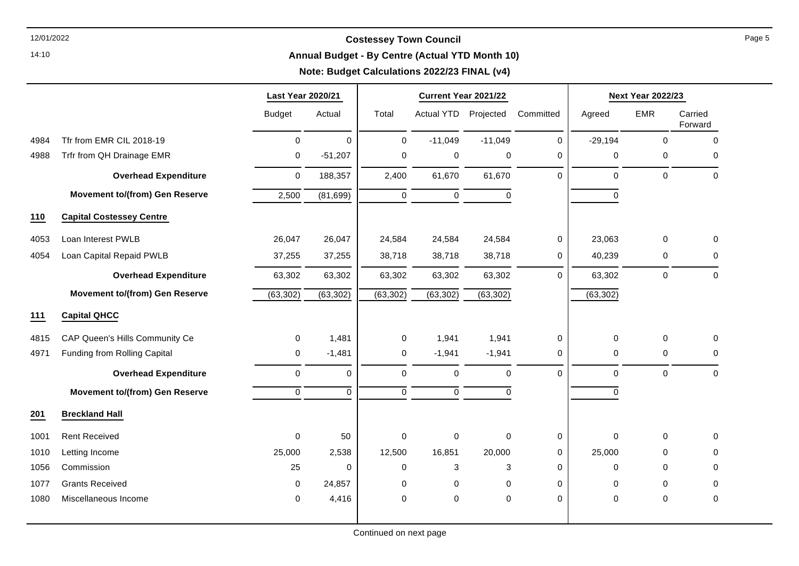14:10

#### **Annual Budget - By Centre (Actual YTD Month 10)**

|      |                                       | Last Year 2020/21   |              |             | Current Year 2021/22 |             |              |             | <b>Next Year 2022/23</b> |                    |
|------|---------------------------------------|---------------------|--------------|-------------|----------------------|-------------|--------------|-------------|--------------------------|--------------------|
|      |                                       | <b>Budget</b>       | Actual       | Total       | <b>Actual YTD</b>    | Projected   | Committed    | Agreed      | <b>EMR</b>               | Carried<br>Forward |
| 4984 | Tfr from EMR CIL 2018-19              | $\mathsf{O}\xspace$ | $\mathbf 0$  | $\mathbf 0$ | $-11,049$            | $-11,049$   | $\mathbf 0$  | $-29,194$   | $\pmb{0}$                | $\mathbf 0$        |
| 4988 | Trfr from QH Drainage EMR             | 0                   | $-51,207$    | 0           | 0                    | 0           | $\mathbf 0$  | 0           | 0                        | 0                  |
|      | <b>Overhead Expenditure</b>           | 0                   | 188,357      | 2,400       | 61,670               | 61,670      | $\Omega$     | $\Omega$    | $\mathbf 0$              | $\mathbf 0$        |
|      | <b>Movement to/(from) Gen Reserve</b> | 2,500               | (81, 699)    | $\pmb{0}$   | $\mathsf 0$          | $\mathbf 0$ |              | $\mathbf 0$ |                          |                    |
| 110  | <b>Capital Costessey Centre</b>       |                     |              |             |                      |             |              |             |                          |                    |
| 4053 | Loan Interest PWLB                    | 26,047              | 26,047       | 24,584      | 24,584               | 24,584      | $\mathbf 0$  | 23,063      | 0                        | $\mathsf 0$        |
| 4054 | Loan Capital Repaid PWLB              | 37,255              | 37,255       | 38,718      | 38,718               | 38,718      | $\mathbf 0$  | 40,239      | 0                        | $\mathbf 0$        |
|      | <b>Overhead Expenditure</b>           | 63,302              | 63,302       | 63,302      | 63,302               | 63,302      | $\mathbf 0$  | 63,302      | 0                        | 0                  |
|      | <b>Movement to/(from) Gen Reserve</b> | (63, 302)           | (63, 302)    | (63, 302)   | (63, 302)            | (63, 302)   |              | (63, 302)   |                          |                    |
| 111  | <b>Capital QHCC</b>                   |                     |              |             |                      |             |              |             |                          |                    |
| 4815 | CAP Queen's Hills Community Ce        | 0                   | 1,481        | $\pmb{0}$   | 1,941                | 1,941       | $\pmb{0}$    | 0           | $\pmb{0}$                | $\mathsf 0$        |
| 4971 | Funding from Rolling Capital          | $\pmb{0}$           | $-1,481$     | $\pmb{0}$   | $-1,941$             | $-1,941$    | 0            | 0           | $\mathbf 0$              | 0                  |
|      | <b>Overhead Expenditure</b>           | 0                   | $\mathbf 0$  | $\mathbf 0$ | $\pmb{0}$            | $\mathbf 0$ | $\mathbf{0}$ | 0           | $\mathbf 0$              | $\mathbf 0$        |
|      | <b>Movement to/(from) Gen Reserve</b> | $\mathsf{O}\xspace$ | $\mathbf{0}$ | $\mathbf 0$ | $\mathbf 0$          | $\mathbf 0$ |              | 0           |                          |                    |
| 201  | <b>Breckland Hall</b>                 |                     |              |             |                      |             |              |             |                          |                    |
| 1001 | <b>Rent Received</b>                  | 0                   | 50           | $\mathbf 0$ | 0                    | $\mathbf 0$ | $\mathbf 0$  | $\mathbf 0$ | $\mathbf 0$              | 0                  |
| 1010 | Letting Income                        | 25,000              | 2,538        | 12,500      | 16,851               | 20,000      | 0            | 25,000      | 0                        | 0                  |
| 1056 | Commission                            | 25                  | 0            | 0           | 3                    | 3           | $\mathbf 0$  | 0           | 0                        | 0                  |
| 1077 | <b>Grants Received</b>                | 0                   | 24,857       | 0           | 0                    | 0           | $\mathbf 0$  | 0           | 0                        | $\mathbf 0$        |
| 1080 | Miscellaneous Income                  | 0                   | 4,416        | $\mathbf 0$ | 0                    | $\mathbf 0$ | $\mathbf 0$  | 0           | $\pmb{0}$                | 0                  |
|      |                                       |                     |              |             |                      |             |              |             |                          |                    |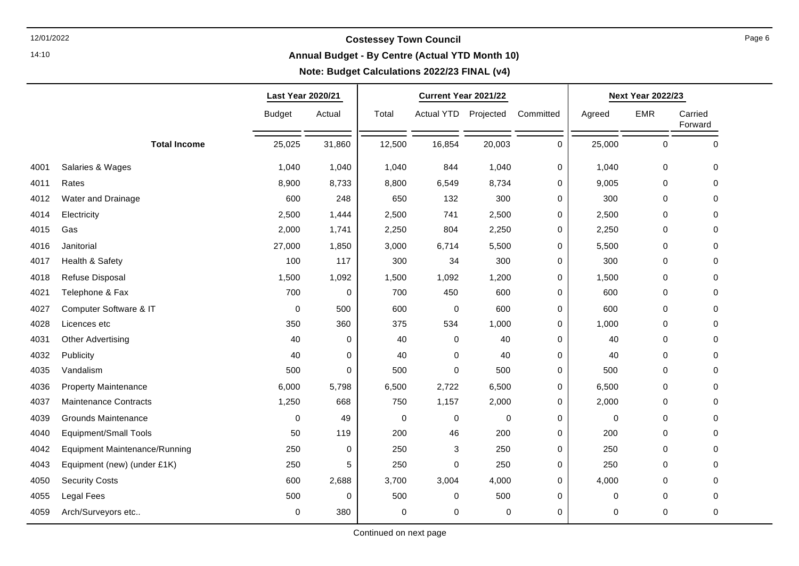14:10

#### **Annual Budget - By Centre (Actual YTD Month 10)**

### **Note: Budget Calculations 2022/23 FINAL (v4)**

┯

|      | Last Year 2020/21             |               |        |        | Current Year 2021/22 |        |             | <b>Next Year 2022/23</b> |            |                    |  |
|------|-------------------------------|---------------|--------|--------|----------------------|--------|-------------|--------------------------|------------|--------------------|--|
|      |                               | <b>Budget</b> | Actual | Total  | Actual YTD Projected |        | Committed   | Agreed                   | <b>EMR</b> | Carried<br>Forward |  |
|      | <b>Total Income</b>           | 25,025        | 31,860 | 12,500 | 16,854               | 20,003 | 0           | 25,000                   | 0          | $\mathbf 0$        |  |
| 4001 | Salaries & Wages              | 1,040         | 1,040  | 1,040  | 844                  | 1,040  | $\mathbf 0$ | 1,040                    | 0          | $\mathbf 0$        |  |
| 4011 | Rates                         | 8,900         | 8,733  | 8,800  | 6,549                | 8,734  | 0           | 9,005                    | 0          | 0                  |  |
| 4012 | Water and Drainage            | 600           | 248    | 650    | 132                  | 300    | 0           | 300                      | 0          | 0                  |  |
| 4014 | Electricity                   | 2,500         | 1,444  | 2,500  | 741                  | 2,500  | 0           | 2,500                    | 0          | $\mathbf 0$        |  |
| 4015 | Gas                           | 2,000         | 1,741  | 2,250  | 804                  | 2,250  | 0           | 2,250                    | 0          | $\mathbf 0$        |  |
| 4016 | Janitorial                    | 27,000        | 1,850  | 3,000  | 6,714                | 5,500  | 0           | 5,500                    | 0          | $\mathbf 0$        |  |
| 4017 | Health & Safety               | 100           | 117    | 300    | 34                   | 300    | 0           | 300                      | 0          | $\mathbf 0$        |  |
| 4018 | Refuse Disposal               | 1,500         | 1,092  | 1,500  | 1,092                | 1,200  | 0           | 1,500                    | 0          | $\mathbf 0$        |  |
| 4021 | Telephone & Fax               | 700           | 0      | 700    | 450                  | 600    | 0           | 600                      | 0          | $\mathbf 0$        |  |
| 4027 | Computer Software & IT        | 0             | 500    | 600    | 0                    | 600    | 0           | 600                      | 0          | 0                  |  |
| 4028 | Licences etc                  | 350           | 360    | 375    | 534                  | 1,000  | 0           | 1,000                    | 0          | 0                  |  |
| 4031 | <b>Other Advertising</b>      | 40            | 0      | 40     | 0                    | 40     | 0           | 40                       | 0          | $\mathbf 0$        |  |
| 4032 | Publicity                     | 40            | 0      | 40     | 0                    | 40     | 0           | 40                       | 0          | 0                  |  |
| 4035 | Vandalism                     | 500           | 0      | 500    | $\pmb{0}$            | 500    | 0           | 500                      | 0          | 0                  |  |
| 4036 | <b>Property Maintenance</b>   | 6,000         | 5,798  | 6,500  | 2,722                | 6,500  | 0           | 6,500                    | 0          | $\mathbf 0$        |  |
| 4037 | <b>Maintenance Contracts</b>  | 1,250         | 668    | 750    | 1,157                | 2,000  | 0           | 2,000                    | 0          | 0                  |  |
| 4039 | <b>Grounds Maintenance</b>    | 0             | 49     | 0      | 0                    | 0      | 0           | 0                        | 0          | 0                  |  |
| 4040 | <b>Equipment/Small Tools</b>  | 50            | 119    | 200    | 46                   | 200    | $\mathsf 0$ | 200                      | 0          | 0                  |  |
| 4042 | Equipment Maintenance/Running | 250           | 0      | 250    | 3                    | 250    | 0           | 250                      | 0          | $\mathbf 0$        |  |
| 4043 | Equipment (new) (under £1K)   | 250           | 5      | 250    | 0                    | 250    | 0           | 250                      | 0          | 0                  |  |
| 4050 | <b>Security Costs</b>         | 600           | 2,688  | 3,700  | 3,004                | 4,000  | $\mathsf 0$ | 4,000                    | 0          | $\mathbf 0$        |  |
| 4055 | Legal Fees                    | 500           | 0      | 500    | 0                    | 500    | 0           | 0                        | 0          | $\mathbf 0$        |  |
| 4059 | Arch/Surveyors etc            | 0             | 380    | 0      | 0                    | 0      | 0           | 0                        | 0          | 0                  |  |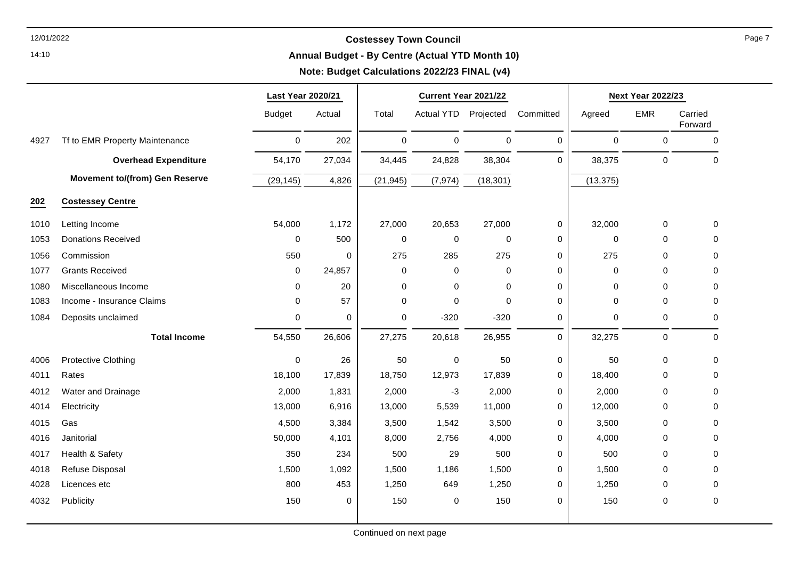14:10

#### **Annual Budget - By Centre (Actual YTD Month 10)**

# **Note: Budget Calculations 2022/23 FINAL (v4)**

|      |                                       | Last Year 2020/21   |             | Current Year 2021/22 |                      |                     |             | <b>Next Year 2022/23</b> |             |                    |
|------|---------------------------------------|---------------------|-------------|----------------------|----------------------|---------------------|-------------|--------------------------|-------------|--------------------|
|      |                                       | <b>Budget</b>       | Actual      | Total                | Actual YTD Projected |                     | Committed   | Agreed                   | <b>EMR</b>  | Carried<br>Forward |
| 4927 | Tf to EMR Property Maintenance        | $\mathsf{O}\xspace$ | 202         | $\mathsf 0$          | 0                    | $\mathsf{O}\xspace$ | $\mathbf 0$ | $\mathbf 0$              | 0           | $\mathbf 0$        |
|      | <b>Overhead Expenditure</b>           | 54,170              | 27,034      | 34,445               | 24,828               | 38,304              | $\mathbf 0$ | 38,375                   | $\pmb{0}$   | $\mathbf 0$        |
|      | <b>Movement to/(from) Gen Reserve</b> | (29, 145)           | 4,826       | (21, 945)            | (7, 974)             | (18, 301)           |             | (13, 375)                |             |                    |
| 202  | <b>Costessey Centre</b>               |                     |             |                      |                      |                     |             |                          |             |                    |
| 1010 | Letting Income                        | 54,000              | 1,172       | 27,000               | 20,653               | 27,000              | 0           | 32,000                   | $\mathbf 0$ | 0                  |
| 1053 | <b>Donations Received</b>             | $\mathbf 0$         | 500         | 0                    | 0                    | 0                   | 0           | 0                        | 0           | 0                  |
| 1056 | Commission                            | 550                 | 0           | 275                  | 285                  | 275                 | 0           | 275                      | 0           | 0                  |
| 1077 | <b>Grants Received</b>                | $\mathbf 0$         | 24,857      | $\mathbf 0$          | 0                    | $\mathbf 0$         | $\mathbf 0$ | $\mathbf 0$              | $\mathbf 0$ | 0                  |
| 1080 | Miscellaneous Income                  | $\mathbf 0$         | 20          | 0                    | 0                    | $\mathbf 0$         | $\mathbf 0$ | 0                        | 0           | 0                  |
| 1083 | Income - Insurance Claims             | $\Omega$            | 57          | $\Omega$             | $\mathbf{0}$         | $\Omega$            | $\mathbf 0$ | $\Omega$                 | $\Omega$    | $\Omega$           |
| 1084 | Deposits unclaimed                    | $\mathbf 0$         | $\mathbf 0$ | $\mathbf 0$          | $-320$               | $-320$              | $\mathbf 0$ | 0                        | 0           | 0                  |
|      | <b>Total Income</b>                   | 54,550              | 26,606      | 27,275               | 20,618               | 26,955              | $\mathbf 0$ | 32,275                   | $\mathbf 0$ | $\mathbf 0$        |
| 4006 | <b>Protective Clothing</b>            | $\mathbf 0$         | 26          | 50                   | 0                    | 50                  | $\mathbf 0$ | 50                       | 0           | 0                  |
| 4011 | Rates                                 | 18,100              | 17,839      | 18,750               | 12,973               | 17,839              | 0           | 18,400                   | $\mathbf 0$ | 0                  |
| 4012 | Water and Drainage                    | 2,000               | 1,831       | 2,000                | $-3$                 | 2,000               | $\mathbf 0$ | 2,000                    | $\Omega$    | $\Omega$           |
| 4014 | Electricity                           | 13,000              | 6,916       | 13,000               | 5,539                | 11,000              | 0           | 12,000                   | 0           | 0                  |
| 4015 | Gas                                   | 4,500               | 3,384       | 3,500                | 1,542                | 3,500               | $\mathbf 0$ | 3,500                    | 0           | 0                  |
| 4016 | Janitorial                            | 50,000              | 4,101       | 8,000                | 2,756                | 4,000               | 0           | 4,000                    | 0           | 0                  |
| 4017 | Health & Safety                       | 350                 | 234         | 500                  | 29                   | 500                 | 0           | 500                      | 0           | 0                  |
| 4018 | Refuse Disposal                       | 1,500               | 1,092       | 1,500                | 1,186                | 1,500               | 0           | 1,500                    | $\mathbf 0$ | 0                  |
| 4028 | Licences etc                          | 800                 | 453         | 1,250                | 649                  | 1,250               | 0           | 1,250                    | 0           | 0                  |
| 4032 | Publicity                             | 150                 | 0           | 150                  | 0                    | 150                 | $\mathbf 0$ | 150                      | $\mathbf 0$ | 0                  |
|      |                                       |                     |             |                      |                      |                     |             |                          |             |                    |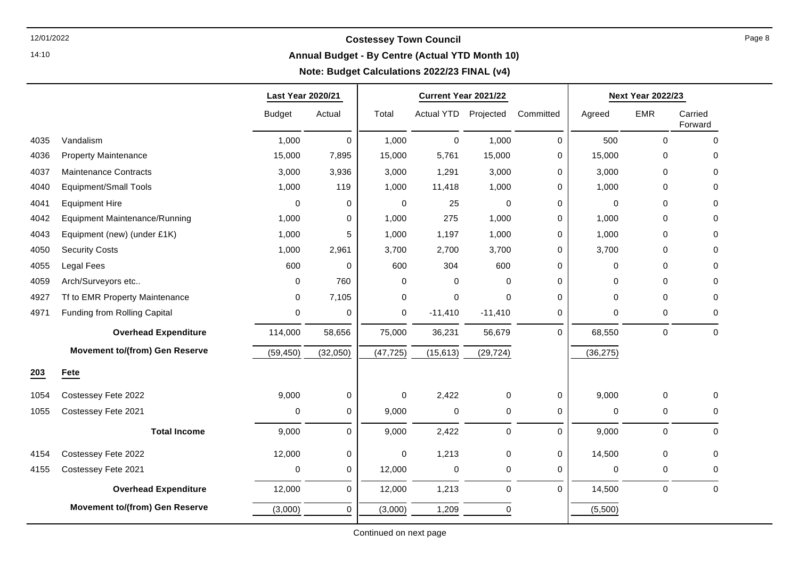14:10

### **Annual Budget - By Centre (Actual YTD Month 10)**

|      |                                       | Last Year 2020/21 |             |           | Current Year 2021/22 |                  |             |             | <b>Next Year 2022/23</b> |                    |
|------|---------------------------------------|-------------------|-------------|-----------|----------------------|------------------|-------------|-------------|--------------------------|--------------------|
|      |                                       | <b>Budget</b>     | Actual      | Total     | <b>Actual YTD</b>    | Projected        | Committed   | Agreed      | <b>EMR</b>               | Carried<br>Forward |
| 4035 | Vandalism                             | 1,000             | $\mathbf 0$ | 1,000     | $\mathbf 0$          | 1,000            | $\mathbf 0$ | 500         | $\Omega$                 | 0                  |
| 4036 | <b>Property Maintenance</b>           | 15,000            | 7,895       | 15,000    | 5,761                | 15,000           | $\Omega$    | 15,000      | $\Omega$                 | 0                  |
| 4037 | <b>Maintenance Contracts</b>          | 3,000             | 3,936       | 3,000     | 1,291                | 3,000            | $\Omega$    | 3,000       | $\mathbf 0$              | 0                  |
| 4040 | <b>Equipment/Small Tools</b>          | 1,000             | 119         | 1,000     | 11,418               | 1,000            | $\Omega$    | 1,000       | 0                        | 0                  |
| 4041 | <b>Equipment Hire</b>                 | $\mathbf 0$       | 0           | 0         | 25                   | $\mathbf 0$      | 0           | $\mathbf 0$ | $\mathbf 0$              | 0                  |
| 4042 | <b>Equipment Maintenance/Running</b>  | 1,000             | $\pmb{0}$   | 1,000     | 275                  | 1,000            | 0           | 1,000       | $\mathbf 0$              | 0                  |
| 4043 | Equipment (new) (under £1K)           | 1,000             | 5           | 1,000     | 1,197                | 1,000            | 0           | 1,000       | 0                        | 0                  |
| 4050 | <b>Security Costs</b>                 | 1,000             | 2,961       | 3,700     | 2,700                | 3,700            | 0           | 3,700       | $\mathbf 0$              | 0                  |
| 4055 | <b>Legal Fees</b>                     | 600               | $\mathbf 0$ | 600       | 304                  | 600              | $\Omega$    | $\mathbf 0$ | 0                        | 0                  |
| 4059 | Arch/Surveyors etc                    | $\Omega$          | 760         | 0         | $\mathbf 0$          | $\Omega$         | $\mathbf 0$ | $\Omega$    | 0                        | 0                  |
| 4927 | Tf to EMR Property Maintenance        | $\Omega$          | 7,105       | 0         | 0                    | $\Omega$         | $\Omega$    | $\Omega$    | $\Omega$                 | 0                  |
| 4971 | Funding from Rolling Capital          | 0                 | 0           | 0         | $-11,410$            | $-11,410$        | 0           | $\mathbf 0$ | 0                        | 0                  |
|      | <b>Overhead Expenditure</b>           | 114,000           | 58,656      | 75,000    | 36,231               | 56,679           | $\Omega$    | 68,550      | $\mathbf 0$              | $\Omega$           |
|      | <b>Movement to/(from) Gen Reserve</b> | (59, 450)         | (32,050)    | (47, 725) | (15, 613)            | (29, 724)        |             | (36, 275)   |                          |                    |
| 203  | Fete                                  |                   |             |           |                      |                  |             |             |                          |                    |
| 1054 | Costessey Fete 2022                   | 9,000             | 0           | 0         | 2,422                | 0                | 0           | 9,000       | 0                        | 0                  |
| 1055 | Costessey Fete 2021                   | 0                 | $\mathbf 0$ | 9,000     | $\pmb{0}$            | $\pmb{0}$        | 0           | 0           | 0                        | 0                  |
|      | <b>Total Income</b>                   | 9,000             | $\Omega$    | 9,000     | 2,422                | $\mathbf 0$      | $\Omega$    | 9,000       | $\mathbf 0$              | 0                  |
| 4154 | Costessey Fete 2022                   | 12,000            | 0           | 0         | 1,213                | $\mathbf 0$      | $\mathbf 0$ | 14,500      | $\mathbf 0$              | 0                  |
| 4155 | Costessey Fete 2021                   | 0                 | $\mathbf 0$ | 12,000    | $\pmb{0}$            | $\mathbf 0$      | $\mathbf 0$ | $\mathbf 0$ | 0                        | 0                  |
|      | <b>Overhead Expenditure</b>           | 12,000            | $\mathbf 0$ | 12,000    | 1,213                | $\boldsymbol{0}$ | $\mathbf 0$ | 14,500      | 0                        | 0                  |
|      | <b>Movement to/(from) Gen Reserve</b> | (3,000)           | $\Omega$    | (3,000)   | 1,209                | $\mathbf 0$      |             | (5,500)     |                          |                    |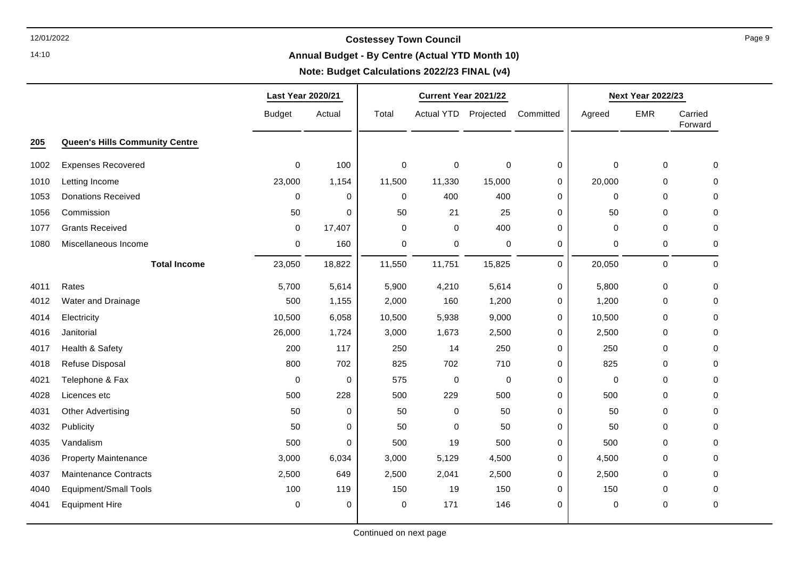14:10

#### **Annual Budget - By Centre (Actual YTD Month 10)**

#### **Note: Budget Calculations 2022/23 FINAL (v4)**

|      |                                       | <b>Last Year 2020/21</b> |             |             | Current Year 2021/22 |                  |           |             | <b>Next Year 2022/23</b> |                    |
|------|---------------------------------------|--------------------------|-------------|-------------|----------------------|------------------|-----------|-------------|--------------------------|--------------------|
|      |                                       | <b>Budget</b>            | Actual      | Total       | Actual YTD Projected |                  | Committed | Agreed      | <b>EMR</b>               | Carried<br>Forward |
| 205  | <b>Queen's Hills Community Centre</b> |                          |             |             |                      |                  |           |             |                          |                    |
| 1002 | <b>Expenses Recovered</b>             | $\mathbf 0$              | 100         | $\mathbf 0$ | $\mathbf 0$          | $\pmb{0}$        | 0         | $\pmb{0}$   | $\mathsf 0$              | 0                  |
| 1010 | Letting Income                        | 23,000                   | 1,154       | 11,500      | 11,330               | 15,000           | 0         | 20,000      | 0                        | 0                  |
| 1053 | <b>Donations Received</b>             | 0                        | 0           | 0           | 400                  | 400              | 0         | 0           | 0                        | $\mathbf 0$        |
| 1056 | Commission                            | 50                       | $\Omega$    | 50          | 21                   | 25               | 0         | 50          | $\mathbf 0$              | $\mathbf 0$        |
| 1077 | <b>Grants Received</b>                | $\pmb{0}$                | 17,407      | $\mathbf 0$ | $\mathbf 0$          | 400              | 0         | $\pmb{0}$   | 0                        | $\pmb{0}$          |
| 1080 | Miscellaneous Income                  | $\pmb{0}$                | 160         | 0           | 0                    | $\pmb{0}$        | 0         | 0           | 0                        | 0                  |
|      | <b>Total Income</b>                   | 23,050                   | 18,822      | 11,550      | 11,751               | 15,825           | $\pmb{0}$ | 20,050      | 0                        | $\mathbf 0$        |
| 4011 | Rates                                 | 5,700                    | 5,614       | 5,900       | 4,210                | 5,614            | 0         | 5,800       | 0                        | 0                  |
| 4012 | Water and Drainage                    | 500                      | 1,155       | 2,000       | 160                  | 1,200            | 0         | 1,200       | 0                        | $\mathbf 0$        |
| 4014 | Electricity                           | 10,500                   | 6,058       | 10,500      | 5,938                | 9,000            | 0         | 10,500      | $\mathbf 0$              | $\mathbf 0$        |
| 4016 | Janitorial                            | 26,000                   | 1,724       | 3,000       | 1,673                | 2,500            | 0         | 2,500       | 0                        | 0                  |
| 4017 | Health & Safety                       | 200                      | 117         | 250         | 14                   | 250              | 0         | 250         | 0                        | $\mathbf 0$        |
| 4018 | Refuse Disposal                       | 800                      | 702         | 825         | 702                  | 710              | 0         | 825         | 0                        | 0                  |
| 4021 | Telephone & Fax                       | $\mathbf 0$              | 0           | 575         | $\mathbf 0$          | $\boldsymbol{0}$ | 0         | $\mathbf 0$ | 0                        | $\Omega$           |
| 4028 | Licences etc                          | 500                      | 228         | 500         | 229                  | 500              | 0         | 500         | 0                        | $\mathbf 0$        |
| 4031 | <b>Other Advertising</b>              | 50                       | $\mathbf 0$ | 50          | $\Omega$             | 50               | 0         | 50          | 0                        | $\mathbf 0$        |
| 4032 | Publicity                             | 50                       | 0           | 50          | $\Omega$             | 50               | 0         | 50          | 0                        | $\mathbf 0$        |
| 4035 | Vandalism                             | 500                      | $\mathbf 0$ | 500         | 19                   | 500              | 0         | 500         | 0                        | 0                  |
| 4036 | <b>Property Maintenance</b>           | 3,000                    | 6,034       | 3,000       | 5,129                | 4,500            | 0         | 4,500       | 0                        | $\mathbf 0$        |
| 4037 | <b>Maintenance Contracts</b>          | 2,500                    | 649         | 2,500       | 2,041                | 2,500            | 0         | 2,500       | $\mathbf 0$              | $\mathbf 0$        |
| 4040 | Equipment/Small Tools                 | 100                      | 119         | 150         | 19                   | 150              | 0         | 150         | 0                        | 0                  |
| 4041 | <b>Equipment Hire</b>                 | $\mathbf 0$              | 0           | 0           | 171                  | 146              | 0         | 0           | 0                        | $\pmb{0}$          |
|      |                                       |                          |             |             |                      |                  |           |             |                          |                    |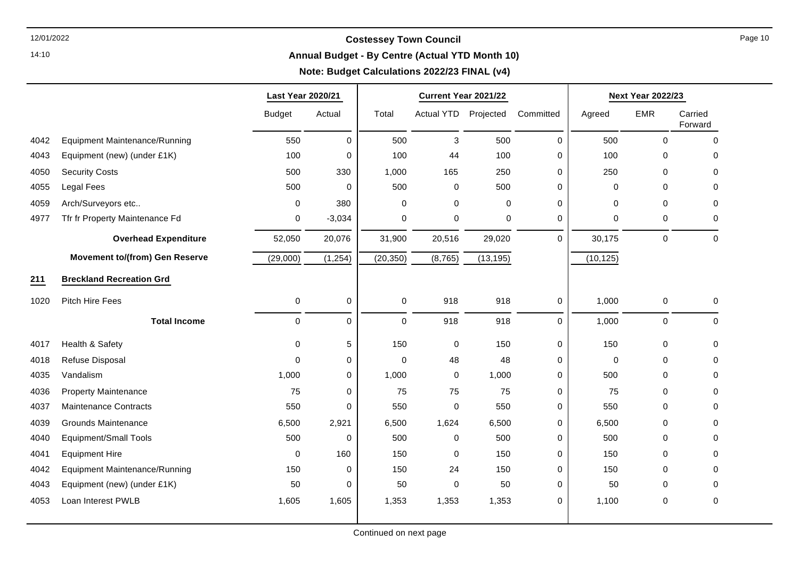14:10

### **Annual Budget - By Centre (Actual YTD Month 10)**

┯

### **Note: Budget Calculations 2022/23 FINAL (v4)**

⊤

|      |                                       | <b>Last Year 2020/21</b> |             |                     | Current Year 2021/22 |             |             |             | <b>Next Year 2022/23</b> |                    |
|------|---------------------------------------|--------------------------|-------------|---------------------|----------------------|-------------|-------------|-------------|--------------------------|--------------------|
|      |                                       | <b>Budget</b>            | Actual      | Total               | Actual YTD Projected |             | Committed   | Agreed      | <b>EMR</b>               | Carried<br>Forward |
| 4042 | <b>Equipment Maintenance/Running</b>  | 550                      | $\mathbf 0$ | 500                 | 3                    | 500         | $\mathbf 0$ | 500         | $\mathbf 0$              | $\mathbf 0$        |
| 4043 | Equipment (new) (under £1K)           | 100                      | 0           | 100                 | 44                   | 100         | $\mathbf 0$ | 100         | $\mathbf 0$              | 0                  |
| 4050 | <b>Security Costs</b>                 | 500                      | 330         | 1,000               | 165                  | 250         | $\mathbf 0$ | 250         | $\Omega$                 | $\Omega$           |
| 4055 | <b>Legal Fees</b>                     | 500                      | 0           | 500                 | $\pmb{0}$            | 500         | $\mathbf 0$ | $\mathbf 0$ | $\mathbf 0$              | 0                  |
| 4059 | Arch/Surveyors etc                    | 0                        | 380         | 0                   | 0                    | $\Omega$    | 0           | $\mathbf 0$ | $\Omega$                 | 0                  |
| 4977 | Tfr fr Property Maintenance Fd        | 0                        | $-3,034$    | 0                   | 0                    | $\mathbf 0$ | $\mathbf 0$ | $\mathbf 0$ | $\mathbf 0$              | 0                  |
|      | <b>Overhead Expenditure</b>           | 52,050                   | 20,076      | 31,900              | 20,516               | 29,020      | $\Omega$    | 30,175      | $\mathbf 0$              | $\mathbf 0$        |
|      | <b>Movement to/(from) Gen Reserve</b> | (29,000)                 | (1, 254)    | (20, 350)           | (8, 765)             | (13, 195)   |             | (10, 125)   |                          |                    |
| 211  | <b>Breckland Recreation Grd</b>       |                          |             |                     |                      |             |             |             |                          |                    |
| 1020 | Pitch Hire Fees                       | 0                        | 0           | $\mathsf{O}\xspace$ | 918                  | 918         | $\mathbf 0$ | 1,000       | $\pmb{0}$                | 0                  |
|      | <b>Total Income</b>                   | 0                        | 0           | $\mathbf 0$         | 918                  | 918         | $\Omega$    | 1,000       | 0                        | $\mathbf 0$        |
| 4017 | Health & Safety                       | 0                        | 5           | 150                 | $\pmb{0}$            | 150         | 0           | 150         | $\mathbf 0$              | 0                  |
| 4018 | Refuse Disposal                       | 0                        | 0           | $\mathbf 0$         | 48                   | 48          | 0           | $\mathbf 0$ | $\mathbf 0$              | 0                  |
| 4035 | Vandalism                             | 1,000                    | 0           | 1,000               | $\pmb{0}$            | 1,000       | $\Omega$    | 500         | $\Omega$                 | $\Omega$           |
| 4036 | <b>Property Maintenance</b>           | 75                       | 0           | 75                  | 75                   | 75          | $\mathbf 0$ | 75          | $\mathbf 0$              | 0                  |
| 4037 | <b>Maintenance Contracts</b>          | 550                      | 0           | 550                 | $\mathbf 0$          | 550         | 0           | 550         | $\Omega$                 | 0                  |
| 4039 | <b>Grounds Maintenance</b>            | 6,500                    | 2,921       | 6,500               | 1,624                | 6,500       | 0           | 6,500       | $\Omega$                 | 0                  |
| 4040 | <b>Equipment/Small Tools</b>          | 500                      | $\mathbf 0$ | 500                 | $\mathbf 0$          | 500         | $\mathbf 0$ | 500         | $\mathbf 0$              | 0                  |
| 4041 | <b>Equipment Hire</b>                 | 0                        | 160         | 150                 | $\mathbf 0$          | 150         | $\mathbf 0$ | 150         | $\Omega$                 | $\Omega$           |
| 4042 | Equipment Maintenance/Running         | 150                      | 0           | 150                 | 24                   | 150         | 0           | 150         | $\Omega$                 | 0                  |
| 4043 | Equipment (new) (under £1K)           | 50                       | 0           | 50                  | 0                    | 50          | $\mathbf 0$ | 50          | $\mathbf 0$              | 0                  |
| 4053 | Loan Interest PWLB                    | 1,605                    | 1,605       | 1,353               | 1,353                | 1,353       | 0           | 1,100       | $\mathbf 0$              | 0                  |
|      |                                       |                          |             |                     |                      |             |             |             |                          |                    |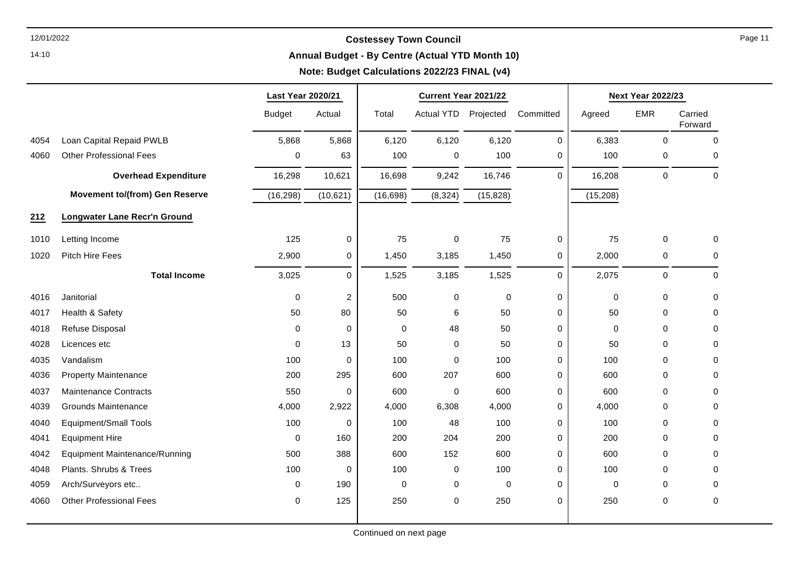14:10

#### **Annual Budget - By Centre (Actual YTD Month 10)**

### **Note: Budget Calculations 2022/23 FINAL (v4)**

|      |                                       | Last Year 2020/21 |                         | Current Year 2021/22 |             |           |           | <b>Next Year 2022/23</b> |             |                    |
|------|---------------------------------------|-------------------|-------------------------|----------------------|-------------|-----------|-----------|--------------------------|-------------|--------------------|
|      |                                       | <b>Budget</b>     | Actual                  | Total                | Actual YTD  | Projected | Committed | Agreed                   | <b>EMR</b>  | Carried<br>Forward |
| 4054 | Loan Capital Repaid PWLB              | 5,868             | 5,868                   | 6,120                | 6,120       | 6,120     | 0         | 6,383                    | $\mathbf 0$ | $\mathbf 0$        |
| 4060 | <b>Other Professional Fees</b>        | 0                 | 63                      | 100                  | 0           | 100       | 0         | 100                      | 0           | 0                  |
|      | <b>Overhead Expenditure</b>           | 16,298            | 10,621                  | 16,698               | 9,242       | 16,746    | $\Omega$  | 16,208                   | $\mathbf 0$ | $\mathbf 0$        |
|      | <b>Movement to/(from) Gen Reserve</b> | (16, 298)         | (10,621)                | (16, 698)            | (8, 324)    | (15, 828) |           | (15, 208)                |             |                    |
| 212  | <b>Longwater Lane Recr'n Ground</b>   |                   |                         |                      |             |           |           |                          |             |                    |
| 1010 | Letting Income                        | 125               | 0                       | 75                   | $\pmb{0}$   | 75        | 0         | 75                       | $\mathbf 0$ | $\mathbf 0$        |
| 1020 | Pitch Hire Fees                       | 2,900             | 0                       | 1,450                | 3,185       | 1,450     | 0         | 2,000                    | 0           | 0                  |
|      | <b>Total Income</b>                   | 3,025             | $\Omega$                | 1,525                | 3,185       | 1,525     | $\Omega$  | 2,075                    | $\mathbf 0$ | $\mathbf 0$        |
| 4016 | Janitorial                            | $\mathbf 0$       | $\overline{\mathbf{c}}$ | 500                  | 0           | $\pmb{0}$ | 0         | 0                        | 0           | 0                  |
| 4017 | Health & Safety                       | 50                | 80                      | 50                   | 6           | 50        | 0         | 50                       | $\Omega$    | 0                  |
| 4018 | Refuse Disposal                       | $\Omega$          | 0                       | 0                    | 48          | 50        | 0         | 0                        | $\Omega$    | $\Omega$           |
| 4028 | Licences etc                          | $\mathbf 0$       | 13                      | 50                   | 0           | 50        | 0         | 50                       | $\mathbf 0$ | $\pmb{0}$          |
| 4035 | Vandalism                             | 100               | 0                       | 100                  | $\mathbf 0$ | 100       | 0         | 100                      | 0           | 0                  |
| 4036 | <b>Property Maintenance</b>           | 200               | 295                     | 600                  | 207         | 600       | 0         | 600                      | $\Omega$    | $\Omega$           |
| 4037 | <b>Maintenance Contracts</b>          | 550               | 0                       | 600                  | $\pmb{0}$   | 600       | 0         | 600                      | $\Omega$    | 0                  |
| 4039 | <b>Grounds Maintenance</b>            | 4,000             | 2,922                   | 4,000                | 6,308       | 4,000     | 0         | 4,000                    | $\Omega$    | $\Omega$           |
| 4040 | <b>Equipment/Small Tools</b>          | 100               | 0                       | 100                  | 48          | 100       | 0         | 100                      | $\Omega$    | $\Omega$           |
| 4041 | <b>Equipment Hire</b>                 | $\mathbf 0$       | 160                     | 200                  | 204         | 200       | 0         | 200                      | $\Omega$    | 0                  |
| 4042 | <b>Equipment Maintenance/Running</b>  | 500               | 388                     | 600                  | 152         | 600       | 0         | 600                      | $\Omega$    | $\Omega$           |
| 4048 | Plants. Shrubs & Trees                | 100               | 0                       | 100                  | 0           | 100       | 0         | 100                      | $\Omega$    | $\Omega$           |
| 4059 | Arch/Surveyors etc                    | 0                 | 190                     | 0                    | 0           | 0         | 0         | 0                        | $\Omega$    | 0                  |
| 4060 | <b>Other Professional Fees</b>        | $\mathbf 0$       | 125                     | 250                  | $\mathbf 0$ | 250       | 0         | 250                      | $\mathbf 0$ | $\mathbf 0$        |
|      |                                       |                   |                         |                      |             |           |           |                          |             |                    |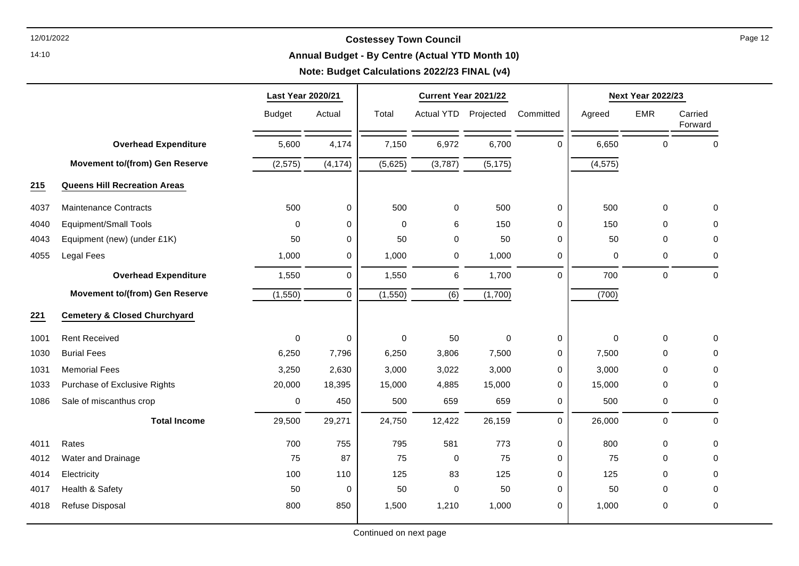14:10

#### **Annual Budget - By Centre (Actual YTD Month 10)**

|      |                                         | Last Year 2020/21 |             | Current Year 2021/22 |                     |           |             |             | <b>Next Year 2022/23</b> |                    |
|------|-----------------------------------------|-------------------|-------------|----------------------|---------------------|-----------|-------------|-------------|--------------------------|--------------------|
|      |                                         | <b>Budget</b>     | Actual      | Total                | <b>Actual YTD</b>   | Projected | Committed   | Agreed      | <b>EMR</b>               | Carried<br>Forward |
|      | <b>Overhead Expenditure</b>             | 5,600             | 4,174       | 7,150                | 6,972               | 6,700     | $\Omega$    | 6,650       | $\mathbf 0$              | $\mathbf 0$        |
|      | <b>Movement to/(from) Gen Reserve</b>   | (2, 575)          | (4, 174)    | (5,625)              | (3,787)             | (5, 175)  |             | (4, 575)    |                          |                    |
| 215  | <b>Queens Hill Recreation Areas</b>     |                   |             |                      |                     |           |             |             |                          |                    |
| 4037 | <b>Maintenance Contracts</b>            | 500               | $\pmb{0}$   | 500                  | $\mathsf{O}\xspace$ | 500       | 0           | 500         | $\pmb{0}$                | $\mathbf 0$        |
| 4040 | <b>Equipment/Small Tools</b>            | $\Omega$          | $\mathbf 0$ | 0                    | 6                   | 150       | 0           | 150         | $\mathbf 0$              | $\mathbf 0$        |
| 4043 | Equipment (new) (under £1K)             | 50                | 0           | 50                   | 0                   | 50        | $\mathbf 0$ | 50          | $\mathbf 0$              | 0                  |
| 4055 | Legal Fees                              | 1,000             | 0           | 1,000                | $\pmb{0}$           | 1,000     | 0           | 0           | $\pmb{0}$                | 0                  |
|      | <b>Overhead Expenditure</b>             | 1,550             | $\mathbf 0$ | 1,550                | 6                   | 1,700     | $\Omega$    | 700         | $\mathbf 0$              | $\mathbf 0$        |
|      | <b>Movement to/(from) Gen Reserve</b>   | (1, 550)          | $\Omega$    | (1, 550)             | $\overline{(6)}$    | (1,700)   |             | (700)       |                          |                    |
| 221  | <b>Cemetery &amp; Closed Churchyard</b> |                   |             |                      |                     |           |             |             |                          |                    |
| 1001 | <b>Rent Received</b>                    | 0                 | $\mathbf 0$ | 0                    | 50                  | $\Omega$  | 0           | $\mathbf 0$ | $\mathbf 0$              | 0                  |
| 1030 | <b>Burial Fees</b>                      | 6,250             | 7,796       | 6,250                | 3,806               | 7,500     | $\mathbf 0$ | 7,500       | $\mathbf 0$              | $\mathbf 0$        |
| 1031 | <b>Memorial Fees</b>                    | 3,250             | 2,630       | 3,000                | 3,022               | 3,000     | 0           | 3,000       | $\mathbf 0$              | $\mathbf 0$        |
| 1033 | Purchase of Exclusive Rights            | 20,000            | 18,395      | 15,000               | 4,885               | 15,000    | 0           | 15,000      | 0                        | 0                  |
| 1086 | Sale of miscanthus crop                 | 0                 | 450         | 500                  | 659                 | 659       | $\mathbf 0$ | 500         | $\pmb{0}$                | $\mathbf 0$        |
|      | <b>Total Income</b>                     | 29,500            | 29,271      | 24,750               | 12,422              | 26,159    | $\mathbf 0$ | 26,000      | $\mathbf 0$              | $\mathbf 0$        |
| 4011 | Rates                                   | 700               | 755         | 795                  | 581                 | 773       | 0           | 800         | 0                        | $\mathbf 0$        |
| 4012 | Water and Drainage                      | 75                | 87          | 75                   | $\pmb{0}$           | 75        | $\mathbf 0$ | 75          | $\mathbf 0$              | $\mathbf 0$        |
| 4014 | Electricity                             | 100               | 110         | 125                  | 83                  | 125       | 0           | 125         | $\mathbf 0$              | $\mathbf 0$        |
| 4017 | Health & Safety                         | 50                | $\mathbf 0$ | 50                   | $\pmb{0}$           | 50        | $\mathbf 0$ | 50          | 0                        | $\mathbf 0$        |
| 4018 | Refuse Disposal                         | 800               | 850         | 1,500                | 1,210               | 1,000     | 0           | 1,000       | 0                        | 0                  |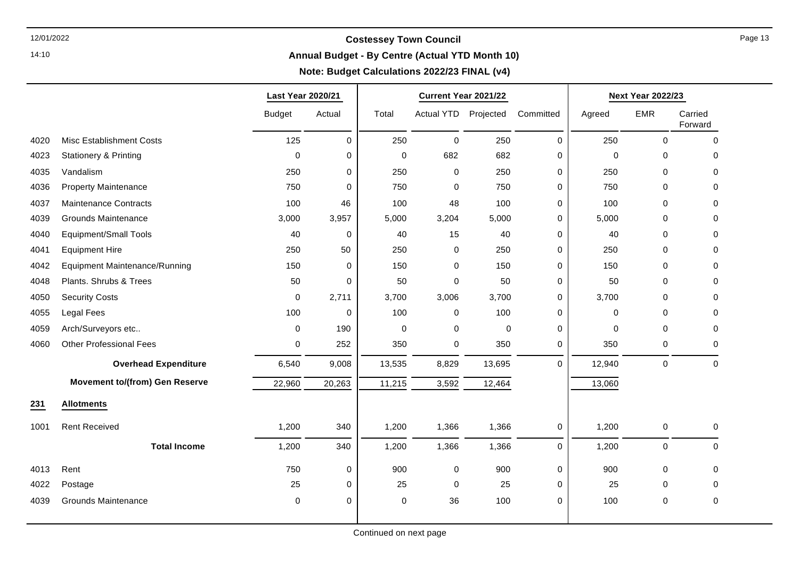14:10

### **Annual Budget - By Centre (Actual YTD Month 10)**

┯

### **Note: Budget Calculations 2022/23 FINAL (v4)**

┯

|      |                                       | Last Year 2020/21 |        |             | Current Year 2021/22 |          |             | <b>Next Year 2022/23</b> |                     |                    |
|------|---------------------------------------|-------------------|--------|-------------|----------------------|----------|-------------|--------------------------|---------------------|--------------------|
|      |                                       | <b>Budget</b>     | Actual | Total       | Actual YTD Projected |          | Committed   | Agreed                   | <b>EMR</b>          | Carried<br>Forward |
| 4020 | <b>Misc Establishment Costs</b>       | 125               | 0      | 250         | $\pmb{0}$            | 250      | $\pmb{0}$   | 250                      | $\pmb{0}$           | $\mathbf 0$        |
| 4023 | <b>Stationery &amp; Printing</b>      | $\mathbf 0$       | 0      | $\mathbf 0$ | 682                  | 682      | 0           | $\mathbf 0$              | 0                   | 0                  |
| 4035 | Vandalism                             | 250               | 0      | 250         | 0                    | 250      | 0           | 250                      | $\Omega$            | $\Omega$           |
| 4036 | <b>Property Maintenance</b>           | 750               | 0      | 750         | 0                    | 750      | 0           | 750                      | 0                   | 0                  |
| 4037 | <b>Maintenance Contracts</b>          | 100               | 46     | 100         | 48                   | 100      | 0           | 100                      | $\Omega$            | 0                  |
| 4039 | <b>Grounds Maintenance</b>            | 3,000             | 3,957  | 5,000       | 3,204                | 5,000    | 0           | 5,000                    | $\mathbf 0$         | $\Omega$           |
| 4040 | <b>Equipment/Small Tools</b>          | 40                | 0      | 40          | 15                   | 40       | 0           | 40                       | $\mathbf 0$         | 0                  |
| 4041 | <b>Equipment Hire</b>                 | 250               | 50     | 250         | 0                    | 250      | 0           | 250                      | $\mathbf 0$         | 0                  |
| 4042 | <b>Equipment Maintenance/Running</b>  | 150               | 0      | 150         | 0                    | 150      | 0           | 150                      | 0                   | $\mathbf 0$        |
| 4048 | Plants. Shrubs & Trees                | 50                | 0      | 50          | 0                    | 50       | 0           | 50                       | 0                   | 0                  |
| 4050 | <b>Security Costs</b>                 | $\mathbf 0$       | 2,711  | 3,700       | 3,006                | 3,700    | 0           | 3,700                    | $\mathbf 0$         | $\mathbf 0$        |
| 4055 | Legal Fees                            | 100               | 0      | 100         | 0                    | 100      | 0           | $\mathbf 0$              | 0                   | 0                  |
| 4059 | Arch/Surveyors etc                    | $\Omega$          | 190    | $\mathbf 0$ | 0                    | $\Omega$ | $\Omega$    | $\Omega$                 | $\Omega$            | $\Omega$           |
| 4060 | <b>Other Professional Fees</b>        | 0                 | 252    | 350         | 0                    | 350      | 0           | 350                      | $\mathbf 0$         | 0                  |
|      | <b>Overhead Expenditure</b>           | 6,540             | 9,008  | 13,535      | 8,829                | 13,695   | $\Omega$    | 12,940                   | $\mathsf{O}\xspace$ | $\Omega$           |
|      | <b>Movement to/(from) Gen Reserve</b> | 22,960            | 20,263 | 11,215      | 3,592                | 12,464   |             | 13,060                   |                     |                    |
| 231  | <b>Allotments</b>                     |                   |        |             |                      |          |             |                          |                     |                    |
| 1001 | <b>Rent Received</b>                  | 1,200             | 340    | 1,200       | 1,366                | 1,366    | 0           | 1,200                    | $\boldsymbol{0}$    | 0                  |
|      | <b>Total Income</b>                   | 1,200             | 340    | 1,200       | 1,366                | 1,366    | $\mathbf 0$ | 1,200                    | $\mathbf 0$         | $\Omega$           |
| 4013 | Rent                                  | 750               | 0      | 900         | 0                    | 900      | 0           | 900                      | $\mathbf 0$         | $\mathbf 0$        |
| 4022 | Postage                               | 25                | 0      | 25          | 0                    | 25       | 0           | 25                       | 0                   | $\mathbf 0$        |
| 4039 | <b>Grounds Maintenance</b>            | $\mathbf 0$       | 0      | 0           | 36                   | 100      | 0           | 100                      | $\mathbf 0$         | $\mathbf 0$        |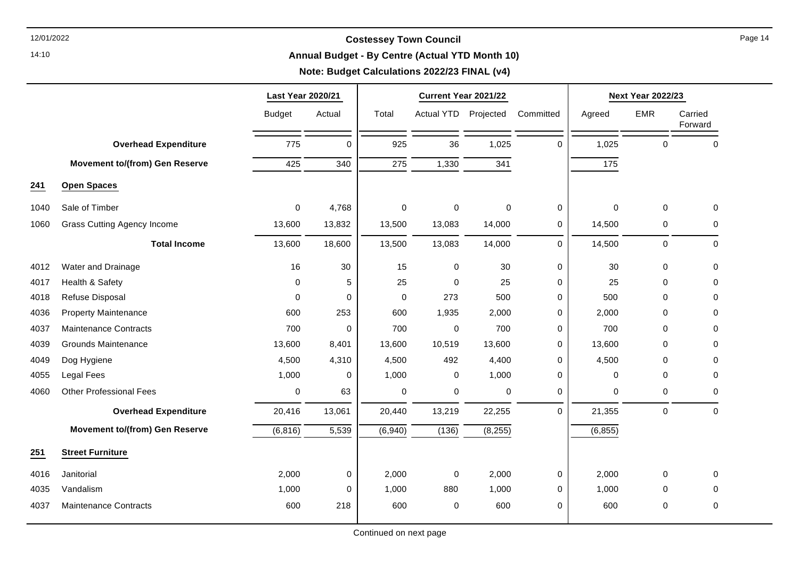14:10

#### **Annual Budget - By Centre (Actual YTD Month 10)**

|      |                                       | Last Year 2020/21 |          | Current Year 2021/22 |                   |           |                     | <b>Next Year 2022/23</b> |             |                    |
|------|---------------------------------------|-------------------|----------|----------------------|-------------------|-----------|---------------------|--------------------------|-------------|--------------------|
|      |                                       | <b>Budget</b>     | Actual   | Total                | <b>Actual YTD</b> | Projected | Committed           | Agreed                   | <b>EMR</b>  | Carried<br>Forward |
|      | <b>Overhead Expenditure</b>           | 775               | $\Omega$ | 925                  | 36                | 1,025     | $\Omega$            | 1,025                    | $\mathbf 0$ | 0                  |
|      | <b>Movement to/(from) Gen Reserve</b> | 425               | 340      | 275                  | 1,330             | 341       |                     | 175                      |             |                    |
| 241  | <b>Open Spaces</b>                    |                   |          |                      |                   |           |                     |                          |             |                    |
| 1040 | Sale of Timber                        | 0                 | 4,768    | 0                    | $\mathbf 0$       | $\Omega$  | $\mathbf 0$         | $\mathbf 0$              | $\mathbf 0$ | $\mathbf 0$        |
| 1060 | <b>Grass Cutting Agency Income</b>    | 13,600            | 13,832   | 13,500               | 13,083            | 14,000    | 0                   | 14,500                   | 0           | $\Omega$           |
|      | <b>Total Income</b>                   | 13,600            | 18,600   | 13,500               | 13,083            | 14,000    | $\mathsf{O}\xspace$ | 14,500                   | $\mathbf 0$ | 0                  |
| 4012 | Water and Drainage                    | 16                | 30       | 15                   | 0                 | 30        | 0                   | 30                       | $\mathbf 0$ | 0                  |
| 4017 | Health & Safety                       | $\Omega$          | 5        | 25                   | $\Omega$          | 25        | $\mathbf 0$         | 25                       | 0           | $\Omega$           |
| 4018 | Refuse Disposal                       | 0                 | 0        | 0                    | 273               | 500       | $\mathbf 0$         | 500                      | 0           | $\mathbf 0$        |
| 4036 | <b>Property Maintenance</b>           | 600               | 253      | 600                  | 1,935             | 2,000     | $\mathbf 0$         | 2,000                    | 0           | 0                  |
| 4037 | <b>Maintenance Contracts</b>          | 700               | 0        | 700                  | $\mathbf 0$       | 700       | $\mathbf 0$         | 700                      | 0           | $\Omega$           |
| 4039 | <b>Grounds Maintenance</b>            | 13,600            | 8,401    | 13,600               | 10,519            | 13,600    | 0                   | 13,600                   | 0           | 0                  |
| 4049 | Dog Hygiene                           | 4,500             | 4,310    | 4,500                | 492               | 4,400     | $\mathbf 0$         | 4,500                    | 0           | 0                  |
| 4055 | Legal Fees                            | 1,000             | 0        | 1,000                | 0                 | 1,000     | $\mathbf 0$         | 0                        | 0           | $\Omega$           |
| 4060 | <b>Other Professional Fees</b>        | 0                 | 63       | 0                    | 0                 | 0         | 0                   | 0                        | 0           | 0                  |
|      | <b>Overhead Expenditure</b>           | 20,416            | 13,061   | 20,440               | 13,219            | 22,255    | $\mathbf 0$         | 21,355                   | $\mathbf 0$ | $\mathbf 0$        |
|      | <b>Movement to/(from) Gen Reserve</b> | (6, 816)          | 5,539    | (6,940)              | (136)             | (8, 255)  |                     | (6, 855)                 |             |                    |
| 251  | <b>Street Furniture</b>               |                   |          |                      |                   |           |                     |                          |             |                    |
| 4016 | Janitorial                            | 2,000             | 0        | 2,000                | $\pmb{0}$         | 2,000     | 0                   | 2,000                    | $\mathbf 0$ | 0                  |
| 4035 | Vandalism                             | 1,000             | 0        | 1,000                | 880               | 1,000     | $\mathbf 0$         | 1,000                    | 0           | 0                  |
| 4037 | <b>Maintenance Contracts</b>          | 600               | 218      | 600                  | $\pmb{0}$         | 600       | $\mathbf 0$         | 600                      | 0           | $\pmb{0}$          |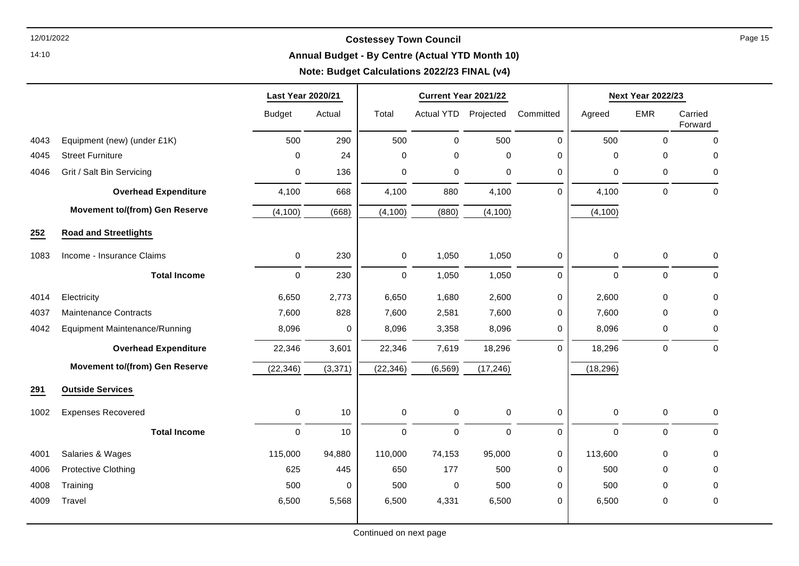14:10

#### **Annual Budget - By Centre (Actual YTD Month 10)**

| <b>EMR</b><br>$\mathbf 0$<br>$\Omega$<br>$\mathbf 0$ | Carried<br>Forward<br>$\pmb{0}$<br>0 |
|------------------------------------------------------|--------------------------------------|
|                                                      |                                      |
|                                                      |                                      |
|                                                      |                                      |
|                                                      | 0                                    |
|                                                      | $\mathbf 0$                          |
|                                                      |                                      |
|                                                      |                                      |
| 0                                                    | 0                                    |
| $\mathbf 0$                                          | $\mathbf 0$                          |
| $\mathbf 0$                                          | 0                                    |
| 0                                                    | $\Omega$                             |
| 0                                                    | 0                                    |
| $\pmb{0}$                                            | $\mathbf 0$                          |
|                                                      |                                      |
|                                                      |                                      |
| $\mathbf 0$                                          | $\mathbf 0$                          |
| $\pmb{0}$                                            | $\mathbf 0$                          |
| $\mathbf{0}$                                         | $\mathbf 0$                          |
| 0                                                    | 0                                    |
| 0                                                    | $\pmb{0}$                            |
| $\mathbf 0$                                          | $\mathbf 0$                          |
|                                                      | $\mathbf 0$                          |